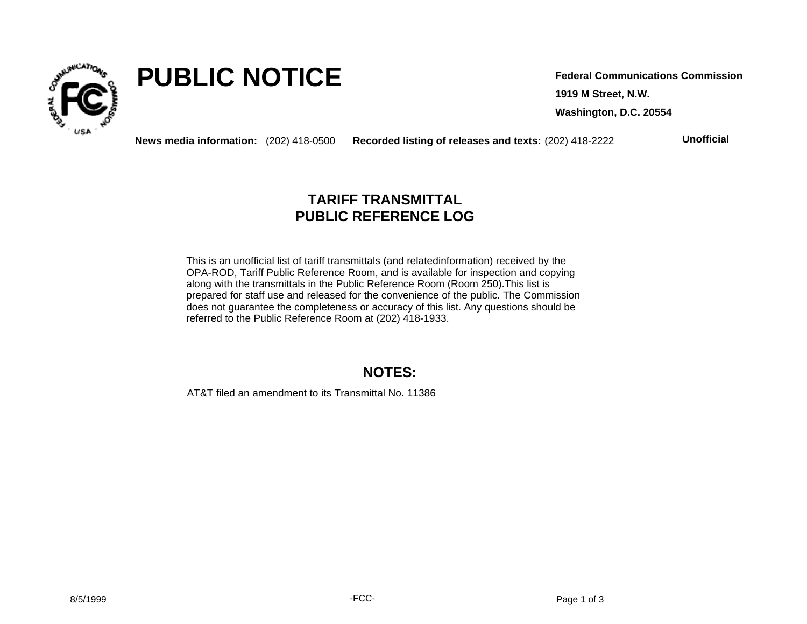

# **PUBLIC NOTICE**

**1919 M Street, N.W. Washington, D.C. 20554 Federal Communications Commission**

**News media information:** (202) 418-0500 **Recorded listing of releases and texts:** (202) 418-2222 **Unofficial**

## **TARIFF TRANSMITTAL PUBLIC REFERENCE LOG**

This is an unofficial list of tariff transmittals (and relatedinformation) received by the OPA-ROD, Tariff Public Reference Room, and is available for inspection and copying along with the transmittals in the Public Reference Room (Room 250).This list is prepared for staff use and released for the convenience of the public. The Commission does not guarantee the completeness or accuracy of this list. Any questions should be referred to the Public Reference Room at (202) 418-1933.

### **NOTES:**

AT&T filed an amendment to its Transmittal No. 11386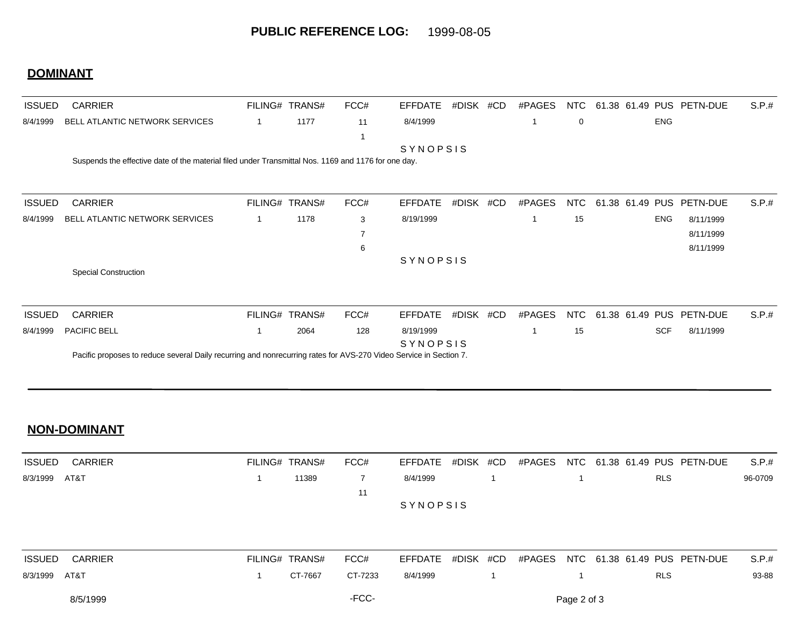#### **DOMINANT**

| <b>ISSUED</b> | <b>CARRIER</b>                                                                                                    | FILING# TRANS# | FCC#                    | <b>EFFDATE</b>        | #DISK | #CD | #PAGES      | NTC |    |                 |            | 61.38 61.49 PUS PETN-DUE | S.P.# |
|---------------|-------------------------------------------------------------------------------------------------------------------|----------------|-------------------------|-----------------------|-------|-----|-------------|-----|----|-----------------|------------|--------------------------|-------|
| 8/4/1999      | BELL ATLANTIC NETWORK SERVICES                                                                                    | 1177           | 11                      | 8/4/1999              |       |     | 1           | 0   |    |                 | <b>ENG</b> |                          |       |
|               | Suspends the effective date of the material filed under Transmittal Nos. 1169 and 1176 for one day.               |                | $\overline{\mathbf{1}}$ | SYNOPSIS              |       |     |             |     |    |                 |            |                          |       |
| <b>ISSUED</b> | <b>CARRIER</b>                                                                                                    | FILING# TRANS# | FCC#                    | <b>EFFDATE</b>        | #DISK | #CD | #PAGES      | NTC | 61 | .38 61.49 PUS   |            | PETN-DUE                 | S.P.# |
| 8/4/1999      | BELL ATLANTIC NETWORK SERVICES                                                                                    | 1178           | 3                       | 8/19/1999             |       |     | 1           | 15  |    |                 | <b>ENG</b> | 8/11/1999                |       |
|               |                                                                                                                   |                | $\overline{7}$          |                       |       |     |             |     |    |                 |            | 8/11/1999                |       |
|               |                                                                                                                   |                | 6                       |                       |       |     |             |     |    |                 |            | 8/11/1999                |       |
|               | <b>Special Construction</b>                                                                                       |                |                         | SYNOPSIS              |       |     |             |     |    |                 |            |                          |       |
| <b>ISSUED</b> | <b>CARRIER</b>                                                                                                    | FILING# TRANS# | FCC#                    | <b>EFFDATE</b>        | #DISK | #CD | #PAGES      | NTC |    | 61.38 61.49 PUS |            | PETN-DUE                 | S.P.# |
| 8/4/1999      | PACIFIC BELL                                                                                                      | 2064           | 128                     | 8/19/1999<br>SYNOPSIS |       |     | $\mathbf 1$ | 15  |    |                 | <b>SCF</b> | 8/11/1999                |       |
|               | Pacific proposes to reduce several Daily recurring and nonrecurring rates for AVS-270 Video Service in Section 7. |                |                         |                       |       |     |             |     |    |                 |            |                          |       |

#### **NON-DOMINANT**

| ISSUED        | CARRIER | FILING# TRANS# |       | FCC# | EFFDATE #DISK #CD |  |  |            | #PAGES NTC 61.38 61.49 PUS PETN-DUE | S.P.#   |
|---------------|---------|----------------|-------|------|-------------------|--|--|------------|-------------------------------------|---------|
| 8/3/1999 AT&T |         |                | 11389 |      | 8/4/1999          |  |  | <b>RLS</b> |                                     | 96-0709 |
|               |         |                |       |      |                   |  |  |            |                                     |         |
|               |         |                |       |      | <b>SYNOPSIS</b>   |  |  |            |                                     |         |

| <b>ISSUED</b> | CARRIER  | FILING# TRANS# | FCC#    |          |  |             | EFFDATE #DISK #CD #PAGES NTC 61.38 61.49 PUS PETN-DUE | S.P.# |
|---------------|----------|----------------|---------|----------|--|-------------|-------------------------------------------------------|-------|
| 8/3/1999 AT&T |          | CT-7667        | CT-7233 | 8/4/1999 |  |             | <b>RLS</b>                                            | 93-88 |
|               | 8/5/1999 |                | -FCC-   |          |  | Page 2 of 3 |                                                       |       |